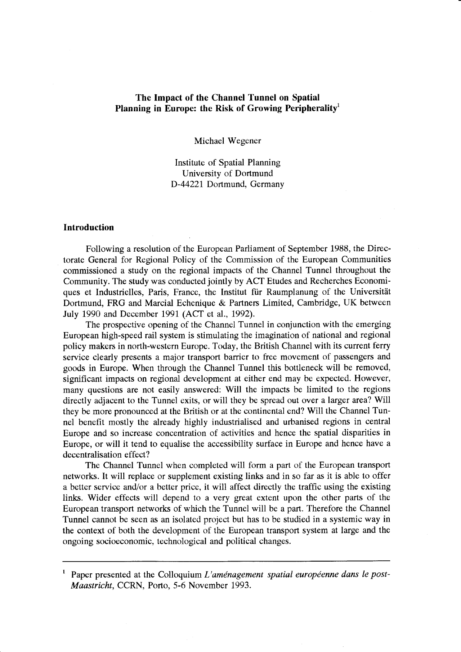# The Impact of the Channel Tunnel on Spatial Planning in Europe: the Risk of Growing Peripherality<sup>1</sup>

Michael Wegener

Institute of Spatial Planning University of Dortmund D-44221 Dortmund, Germany

# Introduction

Following a resolution of the European Parliament of September 1988, the Directorate General for Regional Policy of the Commission of the European Communities commissioned a study on the regional impacts of the Channel Tunnel throughout the Community. The study was conducted jointly by ACT Etudes and Recherches Economiques et Industrielles, Paris, France, the Institut für Raumplanung of the Universität Dortmund, FRG and Marcial Echenique & Partners Limited, Cambridge, UK between July 1990 and December 1991 (ACT et al., 1992).

The prospective opening of the Channel Tunnel in conjunction with the emerging European high-speed rail system is stimulating the imagination of national and regional policy makers in north-western Europe. Today, the British Channel with its current ferry service clearly presents a major transport barrier to free movement of passengers and goods in Europe. When through the Channel Tunnel this bottleneck will be removed, significant impacts on regional development at either end may be expected. However, many questions are not easily answered: Will the impacts be limited to the regions directly adjacent to the Tunnel exits, or will they be spread out over a larger area? Will they be more pronounced at the British or at the continental end? Will the Channel Tunnel benefit mostly the already highly industrialised and urbanised regions in central Europe and so increase concentration of activities and hence the spatial disparities in Europe, or will it tend to equalise the accessibility surface in Europe and hence have <sup>a</sup> decentralisation effect?

The Channel Tunnel when completed will form a part of the European transport networks. It will replace or supplement existing links and in so far as it is able to offer a better service and/or a better price, it will affect directly the traffic using the existing links. Wider effects will depend to a very great extent upon the other parts of the European transport networks of which the Tunnel will be a part. Therefore the Channel Tunnel cannot be seen as an isolated project but has to be studied in a systemic way in the context of both the development of the European transport system at large and the ongoing socioeconomic, technological and political changes.

Paper presented at the Colloquium  $L'$ aménagement spatial européenne dans le post-Maastricht, CCRN, Porto, 5-6 November 1993.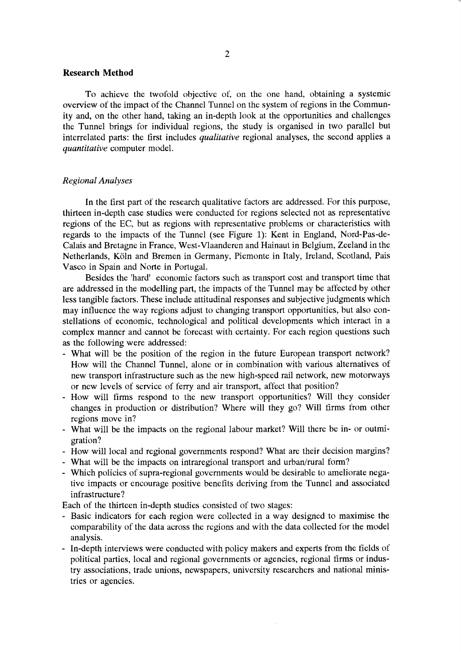## Research Method

To achieve the twotbld objective ot, on the one hand, obtaining a systemic overview of the impact of the Channel Tunnel on the system of regions in the Community and, on the other hand, taking an in-depth look at the opportunities and challenges the Tunnel brings for individual regions, the study is organised in two parallel but interrelated parts: the first includes *qualitative* regional analyses, the second applies a quantitative computer model.

### Regional Analyses

ln the first part of the research qualitative tactors are addressed. For this purpose, thirteen in-depth case studies were conducted for regions selected not as representative regions of the EC, but as regions with representative problems or characteristics with regards to the impacts of the Tunnel (see Figure 1): Kent in England, Nord-Pas-de-Calais and Bretagne in France, West-Vlaanderen and Hainaut in Belgium, Zeeland in the Netherlands, Köln and Bremen in Germany, Piemonte in Italy, Ireland, Scotland, Pais Vasco in Spain and Norte in Portugal.

Besides the 'hard' economic factors such as transport cost and transport time that are addressed in the modelling part, the impacts of the Tunnel may be atl'ected by other less tangible factors. These include attitudinal responses and subjective judgments which may intluence the way regions adjust to changing transport opportunities, but also constellations of economic, technological and political developments which interact in <sup>a</sup> complex manner and cannot be forecast with certainty. For each region questions such as the following were addressed:

- What will be the position of the region in the tuture European transport network? How will the Channel Tunnel, alone or in combination with various alternatives of new transport infiastructure such as the new high-speed rail network, new motorways or new levels of service of ferry and air transport, affect that position?
- How will tirms respond to the new transport opportunities? Will they consider changes in production or distribution? Where will they go? Will firms tiom other regions move in?
- What will be the impacts on the regional labour market? Will there be in- or outmigration?
- How will local and regional governments respond? What are their decision margins?
- What will be the impacts on intraregional transport and urban/rural form?
- Which policies of supra-regional governments would be desirable to ameliorate negative impacts or encourage positive benefits deriving from the Tunnel and associated infrastructure?

Each of the thirteen in-depth studies consisted of two stages:

- Basic indicators for each region were collected in a way designed to maximise the comparability of the data across the regions and with the data collected for the model analysis.
- In-depth interviews were conducted with policy makers and experts from the fields of political parties, local and regional governments or agencies, regional firms or industry associations, trade unions, newspapers, university researchers and national ministries or agencies.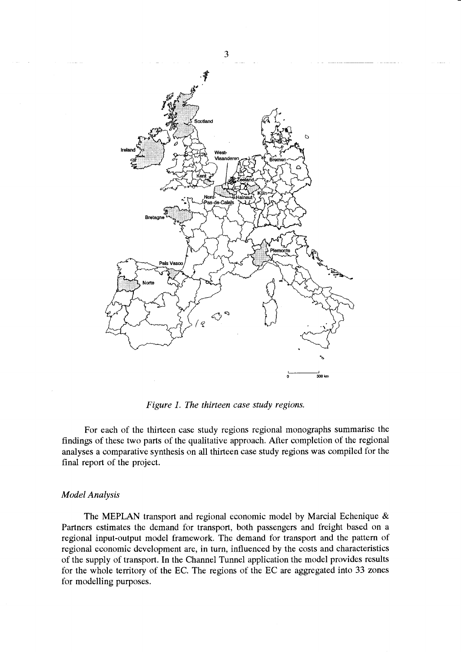

Figure 1. The thirteen case study regions.

For each of the thirteen case study regions regional monographs summarise the findings of these two parts of the qualitative approach. After completion of the regional analyses a comparative synthesis on all thirteen case study regions was compiled for the final report of the project.

### Model Analysis

The MEPLAN transport and regional economic model by Marcial Echenique  $\&$ Partners estimates the demand for transport, both passengers and freight based on a regional input-output model framework. The demand for transport and the pattern of regional economic development are, in turn, influenced by the costs and characteristics of the supply of transport. In the Channel Tunnel application the model provides results for the whole territory of the EC. The regions of the EC are aggregated into 33 zones for modelling purposes.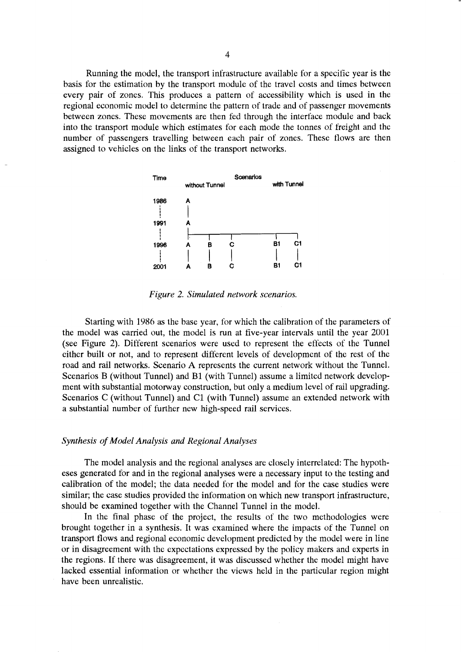Running the model, the transport infrastructure available for a specific year is the basis for the estimation by the transport module of the travel costs and times between every pair of zones. This produces a pattern of accessibility which is used in the regional economic model to determine the pattern of trade and of passenger movements between zones. These movements are then fed through the interface module and back into the transport module which estimates for each mode the tonnes of freight and the number of passengers travelling between each pair of zones. These tlows are then assigned to vehicles on the links of the transport networks.



Figure 2. Simulated network scenarios.

Starting with 1986 as the base year, for which the calibration of the parameters of the model was carried out, the model is run at five-year intervals until the year 2001 (see Figure 2). Different scenarios were used to represent the effects of the Tunnel either built or not, and to represent different levels of development of the rest of the road and rail networks. Scenario A represents the current network without the Tunnel. Scenarios B (without Tunnel) and 81 (with Tunnel) assume a limited network development with substantial motorway construction, but only a medium level of rail upgrading. Scenarios C (without Tunnel) and C1 (with Tunnel) assume an extended network with a substantial number of further new high-speed rail services.

### Synthesis of Model Analysis and Regional Analyses

The model analysis and the regional analyses are closely interrelated: The hypotheses generated for and in the regional analyses were a necessary input to the testing and calibration of the model; the data needed for the model and for the case studies were similar; the case studies provided the information on which new transport infrastructure, should be examined together with the Channel Tunnel in the model.

In the final phase of the project, the results of the two methodologies were brought together in a synthesis. It was examined where the impacts of the Tunnel on transport tlows and regional economic development predicted by the model were in line or in disagreement with the expectations expressed by the policy makers and experts in the regions. [f there was disagreement, it was discussed whether the model might have lacked essential information or whether the views held in the particular region might have been unrealistic.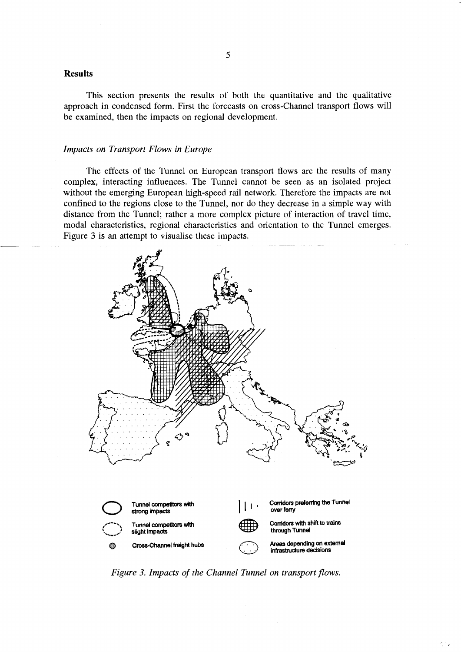## Results

This section presents the results of both the quantitative and the qualitative approach in condensed form. First the forecasts on cross-Channel transport flows will be examined, then the impacts on regional development.

### Impacts on Transport Flows in Europe

The effects of the Tunnel on European transport flows are the results of many complex, interacting intluences. The Tunnel cannot be seen as an isolated project without the emerging European high-speed rail network. Therefore the impacts are not confined to the regions close to the Tunnel, nor do they decrease in a simple way with distance from the Tunnel; rather a more complex picture of interaction of travel time, modal characteristics, regional characteristics and orientation to the Tunnel emerges. Figure 3 is an attempt to visualise these impacts.



Figure 3. Impacts of the Channel Tunnel on transport flows.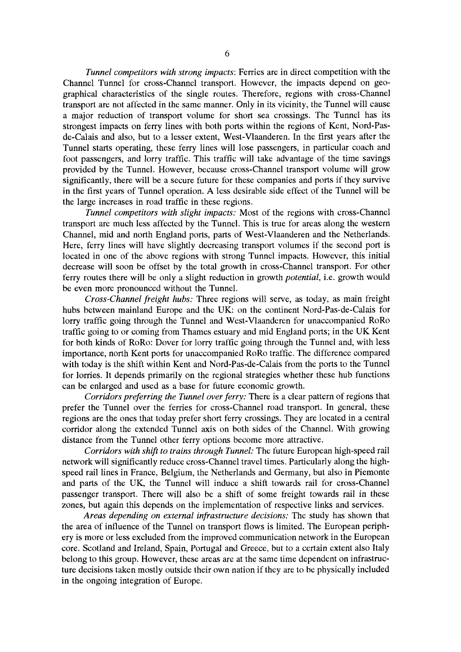Tunnel competitors with strong impacts: Ferries are in direct competition with the Channel Tunnel for cross-Channel transport. However, the impacts depend on geographical characteristics of the single routes. Therefore, regions with cross-Channel transport are not affected in the same manner. Only in its vicinity, the Tunnel will cause a major reduction of transport volume for short sea crossings. The Tunnel has its strongest impacts on ferry lines with both ports within the regions of Kent, Nord-Pasde-Calais and also, but to a lesser extent, West-Vlaanderen. In the tirst years atter the Tunnel starts operating, these ferry lines will lose passengers, in particular coach and foot passengers, and lorry traffic. This traffic will take advantage of the time savings provided by the Tunnel. However, because cross-Channel transport volume will grow significantly, there will be a secure future for these companies and ports if they survive in the first years of Tunnel operation. A less desirable side etfect of the Tunnel will be the large increases in road trattic in these regions.

Tunnel competitors with slight impacts: Most of the regions with cross-Channel transport are much less affected by the Tunnel. This is true for areas along the western Channel, mid and north England ports, parts of West-Vlaanderen and the Netherlands. Here, ferry lines will have slightly decreasing transport volumes if the second port is located in one of the above regions with strong Tunnel impacts. However, this initial decrease will soon be offset by the total growth in cross-Channel transport. For other ferry routes there will be only a slight reduction in growth *potential*, i.e. growth would be even more pronounced without the Tunnel.

Cross-Channel freight hubs: Three regions will serve, as today, as main treight hubs between mainland Europe and the UK: on the continent Nord-Pas-de-Calais for lorry traffic going through the Tunnel and West-Vlaanderen for unaccompanied RoRo traffic going to or coming from Thames estuary and mid England ports; in the UK Kent for both kinds of RoRo: Dover for lorry traffic going through the Tunnel and, with less importance, north Kent ports for unaccompanied RoRo traffic. The difference compared with today is the shift within Kent and Nord-Pas-de-Calais from the ports to the Tunnel for lorries. It depends primarily on the regional strategies whether these hub functions can be enlarged and used as a base for future economic growth.

Corridors preferring the Tunnel over ferry: There is a clear pattern of regions that prefer the Tunnel over the ferries for cross-Channel road transport. In general, these regions are the ones that today prefer short ferry crossings. They are located in a central corridor along the extended Tunnel axis on both sides of the Channel. With growing distance from the Tunnel other ferry options become more attractive.

Corridors with shift to trains through Tunnel: The future European high-speed rail network will significantly reduce cross-Channel travel times. Particularly along the highspeed rail lines in France, Belgium, the Netherlands and Germany, but also in Piemonte and parts of the UK, the Tunnel will induce a shift towards rail for cross-Channel passenger transport. There will also be a shift of some freight towards rail in these zones, but again this depends on the implementation of respective links and services.

Areas depending on external infrastructure decisions: The study has shown that the area of intluence of the Tunnel on transport tlows is limited. The European periphery is more or less excluded from the improved communication network in the European core. Scotland and Ireland, Spain, Portugal and Greece, but to a certain extent also Italy belong to this group. However, these areas are at the same time dependent on infrastructure decisions taken mostly outside their own nation if they are to be physically included in the ongoing integration of Europe.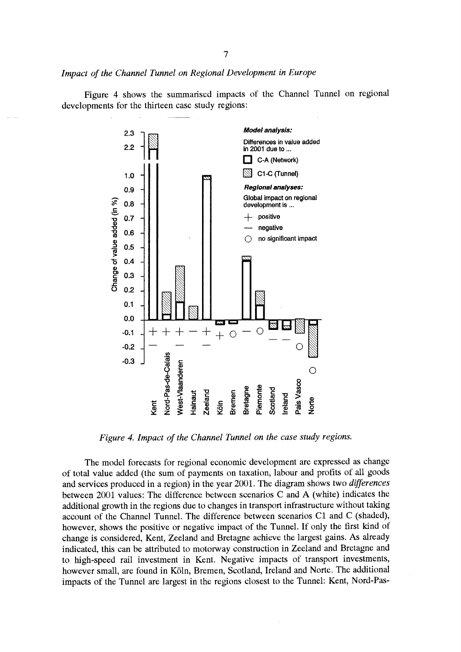Impact of the Channel Tunnel on Regional Development in Europe

Figure 4 shows the summarised impacts of the Channel Tunnel on regional developments for the thirteen case study regions:



Figure 4. Impact of the Channel Tunnel on the case study regions.

The model forecasts for regional economic development are expressed as change of total value added (the sum of payments on taxation, labour and profits of all goods and services produced in a region) in the year 2001. The diagram shows two differences between 2001 values: The difference between scenarios C and A (white) indicates the additional growth in the regions due to changes in transport infrastructure without taking account of the Channel Tunnel. The difference between scenarios C1 and C (shaded), however, shows the positive or negative impact of the Tunnel. If only the first kind of change is considered, Kent, Zeeland and Bretagne achieve the largest gains. As already indicated, this can be attributed to motorway construction in Zeeland and Bretagne and to high-speed rail investment in Kent. Negative impacts of transport investments, however small, are found in Köln, Bremen, Scotland, Ireland and Norte. The additional impacts of the Tunnel are largest in the regions closest to the Tunnel: Kent, Nord-Pas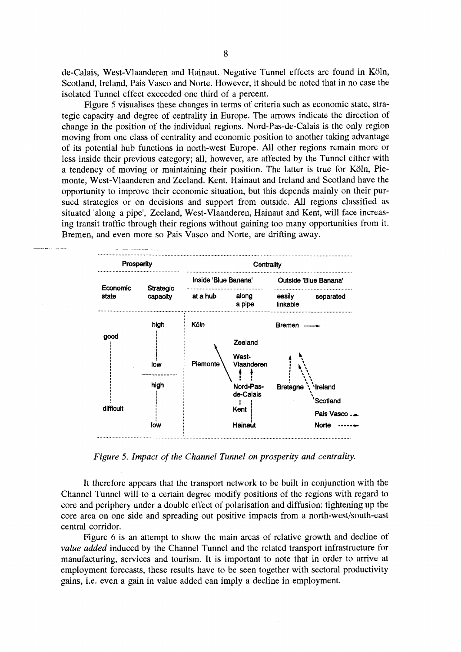de-Calais, West-Vlaanderen and Hainaut. Negative Tunnel effects are found in Köln, Scotland, Ireland, Pais Vasco and Norte. However, it should be noted that in no case the isolated Tunnel effect exceeded one third of a percent.

Figure 5 visualises these changes in terms of criteria such as economic state, strategic capacity and degree of centrality in Europe. The arrows indicate the direction of change in the position of the individual regions. Nord-Pas-de-Calais is the only region moving from one class of centrality and economic position to another taking advantage of its potential hub tunctions in north-west Europe. All other regions remain more or less inside their previous category; all, however, are affected by the Tunnel either with a tendency of moving or maintaining their position. The latter is true for Köln, Piemonte, West-Vlaanderen and Zeeland. Kent, Hainaut and Ireland and Scotland have the opportunity to improve their economic situation, but this depends mainly on their pursued strategies or on decisions and support from outside. All regions classified as situated 'along a pipe', Zeeland, West-Vlaanderen, Hainaut and Kent, will täce increasing transit traffic through their regions without gaining too many opportunities from it. Bremen, and even more so Pais Vasco and Norte, are drifting away.



Figure 5. Impact of the Channel Tunnel on prosperity and centrality.

It therefore appears that the transport network to be built in conjunction with the Channel Tunnel will to a certain degree modity positions of the regions with regard to core and periphery under a double effect of polarisation and diffusion: tightening up the core area on one side and spreading out positive impacts from a north-west/south-east central corridor.

Figure 6 is an attempt to show the main areas of relative growth and decline of value added induced by the Channel Tunnel and the related transport infrastructure for manutäcturing, services and tourism. It is important to note that in order to arrive at employment forecasts, these results have to be seen together with sectoral productivity gains, i.e. even a gain in value added can imply a decline in employment.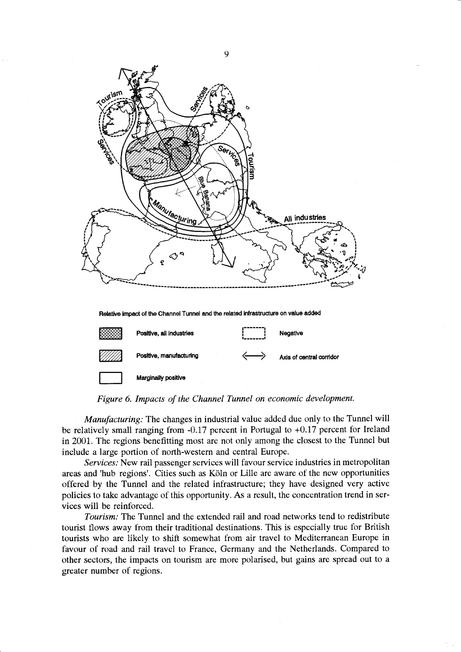

Figure 6. Impacts of the Channel Tunnel on economic development.

*Manufacturing:* The changes in industrial value added due only to the Tunnel will be relatively small ranging from  $-0.17$  percent in Portugal to  $+0.17$  percent for Ireland in 2001. The regions benefitting most are not only among the closest to the Tunnel but include a large portion of north-western and central Europe.

Services: New rail passenger services will favour service industries in metropolitan areas and 'hub regions'. Cities such as Köln or Lille are aware of the new opportunities offered by the Tunnel and the related infrastructure; they have designed very active policies to take advantage of this opportunity. As a result, the concentration trend in services will be reinforced.

Tourism: The Tunnel and the extended rail and road networks tend to redistribute tourist flows away from their traditional destinations. This is especially true for British tourists who are likely to shift somewhat from air travel to Mediterranean Europe in favour of road and rail travel to France, Germany and the Netherlands. Compared to other sectors, the impacts on tourism are more polarised, but gains are spread out to a greater number of regions.

9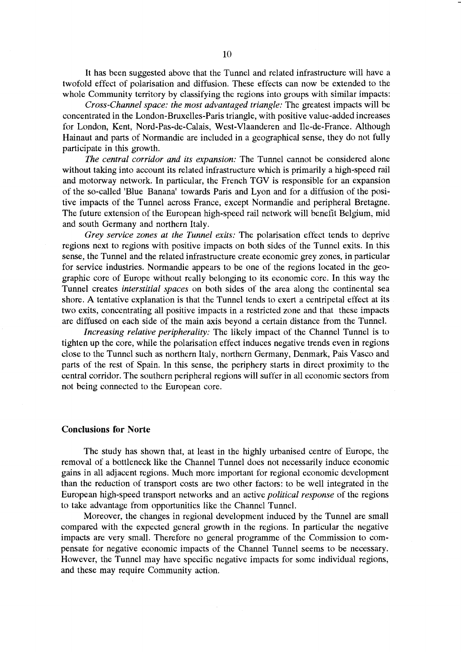It has been suggested above that the Tunnel and related infrastructure will have a twofold effect of polarisation and diffusion. These effects can now be extended to the whole Community territory by classifying the regions into groups with similar impacts:

Cross-Chunnel space: the most advantaged triangle: The greatest impacts will be concentrated in the London-Bruxelles-Paris triangle, with positive value-added increases for London, Kent, Nord-Pas-de-Calais, West-Vlaanderen and lle-de-France. Although Hainaut and parts of Normandie are included in a geographical sense, they do not fully participate in this growth.

The central corridor and its expansion: The Tunnel cannot be considered alone without taking into account its related infrastructure which is primarily a high-speed rail and motorway network. In particular, the French TGV is responsible for an expansion of the so-called 'Blue Banana' towards Paris and Lyon and for a diffusion of the positive impacts of the Tunnel across France, except Normandie and peripheral Bretagne. The future extension of the European high-speed rail network will benefit Belgium, mid and south Germany and northern Italy.

Grey service zones at the Tunnel exits: The polarisation effect tends to deprive regions next to regions with positive impacts on both sides of the Tunnel exits. In this sense, the Tunnel and the related infrastructure create economic grey zones, in particular for service industries. Normandie appears to be one of the regions located in the geographic core of Europe without really belonging to its economic core. In this way the Tunnel creates interstitial spaces on both sides of the area along the continental sea shore. A tentative explanation is that the Tunnel tends to exert a centripetal effect at its two exits, concentrating all positive impacts in a restricted zone and that these impacts are diffused on each side of the main axis beyond a certain distance from the Tunnel.

Increasing relative peripherality: The likely impact of the Channel Tunnel is to tighten up the core, while the polarisation effect induces negative trends even in regions close to the Tunnel such as northern Italy, northern Germany, Denmark, Pais Vasco and parts of the rest of Spain. In this sense, the periphery starts in direct proximity to the central corridor. The southern peripheral regions will suffer in all economic sectors from not being connected to the European core.

### Conclusions for Norte

The study has shown that, at least in the highly urbanised centre of Europe, the removal of a bottleneck like the Channel Tunnel does not necessarily induce economic gains in all adjacent regions. Much more important for regional economic development than the reduction of transport costs are two other täctors: to be well integrated in the European high-speed transport networks and an active *political response* of the regions to take advantage from opportunities like the Channel Tunnel.

Moreover, the changes in regional development induced by the Tunnel are small compared with the expected general growth in the regions. In particular the negative impacts are very small. Therefore no general programme of the Commission to compensate for negative economic impacts of the Channel Tunnel seems to be necessary. However, the Tunnel may have specific negative impacts for some individual regions, and these may require Community action.